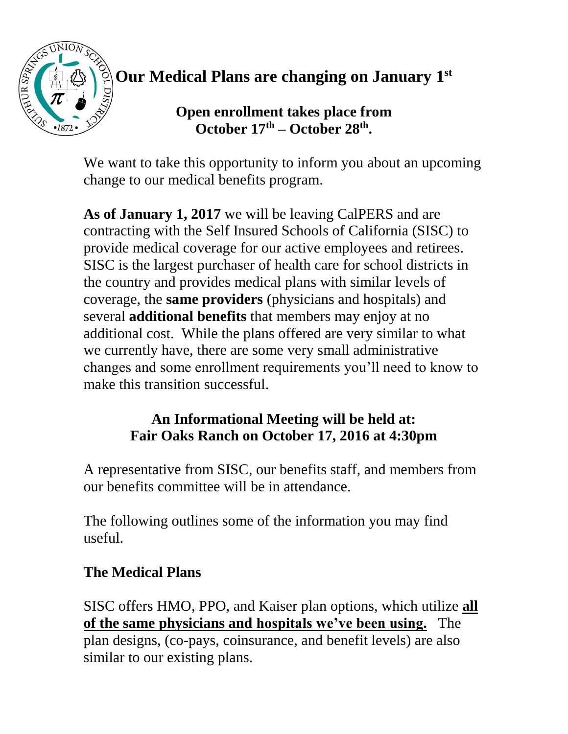

**Our Medical Plans are changing on January 1 st**

# **Open enrollment takes place from October 17th – October 28th .**

We want to take this opportunity to inform you about an upcoming change to our medical benefits program.

**As of January 1, 2017** we will be leaving CalPERS and are contracting with the Self Insured Schools of California (SISC) to provide medical coverage for our active employees and retirees. SISC is the largest purchaser of health care for school districts in the country and provides medical plans with similar levels of coverage, the **same providers** (physicians and hospitals) and several **additional benefits** that members may enjoy at no additional cost. While the plans offered are very similar to what we currently have, there are some very small administrative changes and some enrollment requirements you'll need to know to make this transition successful.

## **An Informational Meeting will be held at: Fair Oaks Ranch on October 17, 2016 at 4:30pm**

A representative from SISC, our benefits staff, and members from our benefits committee will be in attendance.

The following outlines some of the information you may find useful.

# **The Medical Plans**

SISC offers HMO, PPO, and Kaiser plan options, which utilize **all of the same physicians and hospitals we've been using.** The plan designs, (co-pays, coinsurance, and benefit levels) are also similar to our existing plans.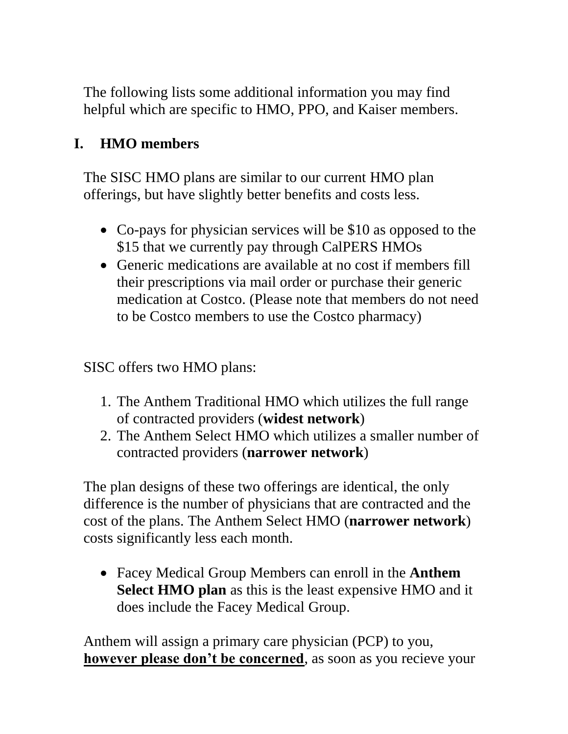The following lists some additional information you may find helpful which are specific to HMO, PPO, and Kaiser members.

## **I. HMO members**

The SISC HMO plans are similar to our current HMO plan offerings, but have slightly better benefits and costs less.

- Co-pays for physician services will be \$10 as opposed to the \$15 that we currently pay through CalPERS HMOs
- Generic medications are available at no cost if members fill their prescriptions via mail order or purchase their generic medication at Costco. (Please note that members do not need to be Costco members to use the Costco pharmacy)

SISC offers two HMO plans:

- 1. The Anthem Traditional HMO which utilizes the full range of contracted providers (**widest network**)
- 2. The Anthem Select HMO which utilizes a smaller number of contracted providers (**narrower network**)

The plan designs of these two offerings are identical, the only difference is the number of physicians that are contracted and the cost of the plans. The Anthem Select HMO (**narrower network**) costs significantly less each month.

 Facey Medical Group Members can enroll in the **Anthem Select HMO plan** as this is the least expensive HMO and it does include the Facey Medical Group.

Anthem will assign a primary care physician (PCP) to you, **however please don't be concerned**, as soon as you recieve your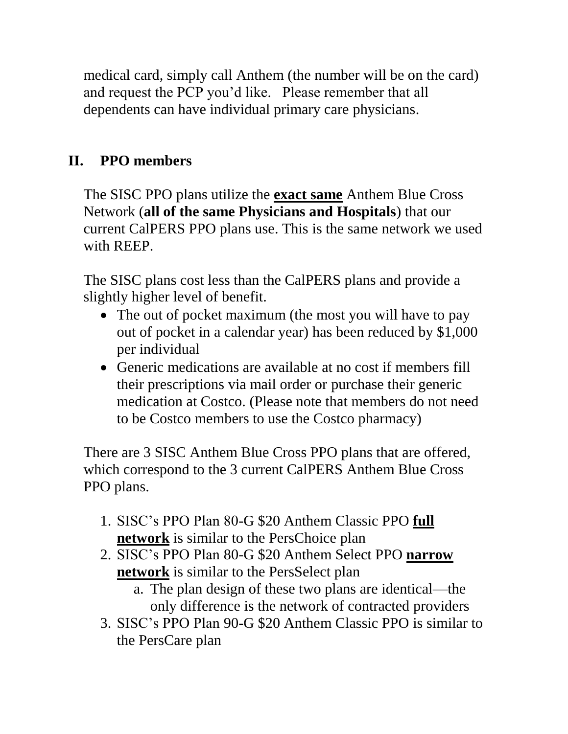medical card, simply call Anthem (the number will be on the card) and request the PCP you'd like. Please remember that all dependents can have individual primary care physicians.

# **II. PPO members**

The SISC PPO plans utilize the **exact same** Anthem Blue Cross Network (**all of the same Physicians and Hospitals**) that our current CalPERS PPO plans use. This is the same network we used with REEP.

The SISC plans cost less than the CalPERS plans and provide a slightly higher level of benefit.

- The out of pocket maximum (the most you will have to pay out of pocket in a calendar year) has been reduced by \$1,000 per individual
- Generic medications are available at no cost if members fill their prescriptions via mail order or purchase their generic medication at Costco. (Please note that members do not need to be Costco members to use the Costco pharmacy)

There are 3 SISC Anthem Blue Cross PPO plans that are offered, which correspond to the 3 current CalPERS Anthem Blue Cross PPO plans.

- 1. SISC's PPO Plan 80-G \$20 Anthem Classic PPO **full network** is similar to the PersChoice plan
- 2. SISC's PPO Plan 80-G \$20 Anthem Select PPO **narrow network** is similar to the PersSelect plan
	- a. The plan design of these two plans are identical—the only difference is the network of contracted providers
- 3. SISC's PPO Plan 90-G \$20 Anthem Classic PPO is similar to the PersCare plan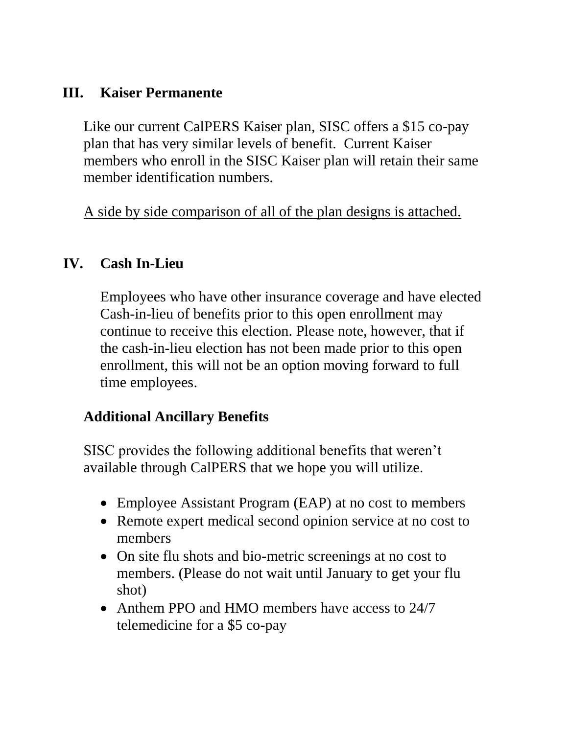### **III. Kaiser Permanente**

Like our current CalPERS Kaiser plan, SISC offers a \$15 co-pay plan that has very similar levels of benefit. Current Kaiser members who enroll in the SISC Kaiser plan will retain their same member identification numbers.

A side by side comparison of all of the plan designs is attached.

### **IV. Cash In-Lieu**

Employees who have other insurance coverage and have elected Cash-in-lieu of benefits prior to this open enrollment may continue to receive this election. Please note, however, that if the cash-in-lieu election has not been made prior to this open enrollment, this will not be an option moving forward to full time employees.

### **Additional Ancillary Benefits**

SISC provides the following additional benefits that weren't available through CalPERS that we hope you will utilize.

- Employee Assistant Program (EAP) at no cost to members
- Remote expert medical second opinion service at no cost to members
- On site flu shots and bio-metric screenings at no cost to members. (Please do not wait until January to get your flu shot)
- Anthem PPO and HMO members have access to 24/7 telemedicine for a \$5 co-pay